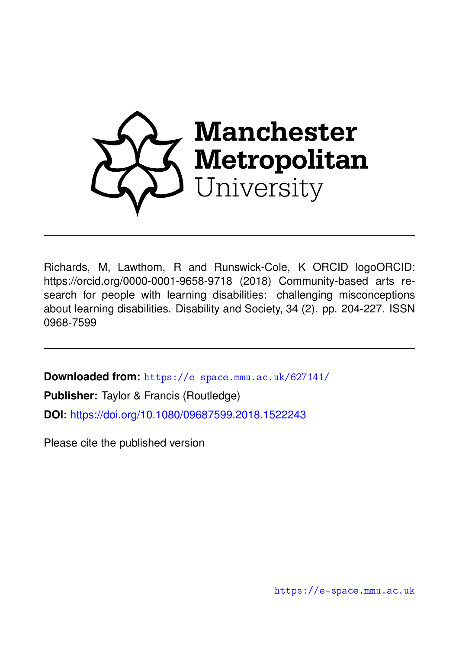

Richards, M, Lawthom, R and Runswick-Cole, K ORCID logoORCID: https://orcid.org/0000-0001-9658-9718 (2018) Community-based arts research for people with learning disabilities: challenging misconceptions about learning disabilities. Disability and Society, 34 (2). pp. 204-227. ISSN 0968-7599

**Downloaded from:** <https://e-space.mmu.ac.uk/627141/>

**Publisher:** Taylor & Francis (Routledge)

**DOI:** <https://doi.org/10.1080/09687599.2018.1522243>

Please cite the published version

<https://e-space.mmu.ac.uk>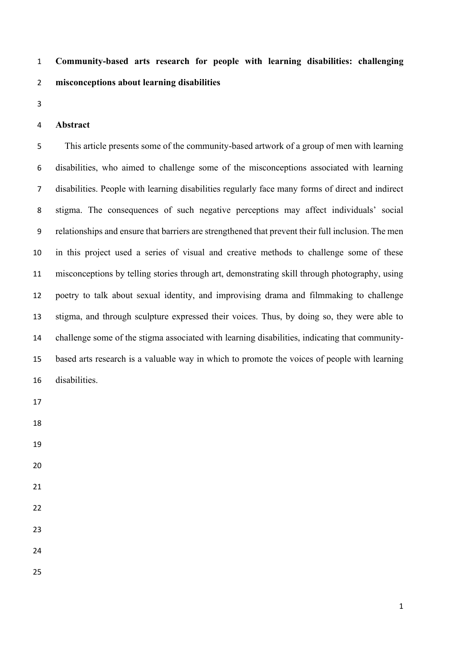# **Community-based arts research for people with learning disabilities: challenging misconceptions about learning disabilities**

#### **Abstract**

 This article presents some of the community-based artwork of a group of men with learning disabilities, who aimed to challenge some of the misconceptions associated with learning disabilities. People with learning disabilities regularly face many forms of direct and indirect stigma. The consequences of such negative perceptions may affect individuals' social relationships and ensure that barriers are strengthened that prevent their full inclusion. The men in this project used a series of visual and creative methods to challenge some of these misconceptions by telling stories through art, demonstrating skill through photography, using poetry to talk about sexual identity, and improvising drama and filmmaking to challenge stigma, and through sculpture expressed their voices. Thus, by doing so, they were able to challenge some of the stigma associated with learning disabilities, indicating that community- based arts research is a valuable way in which to promote the voices of people with learning disabilities.

- 
- 
- 
- 
- 
- 
- 
- 
- 
-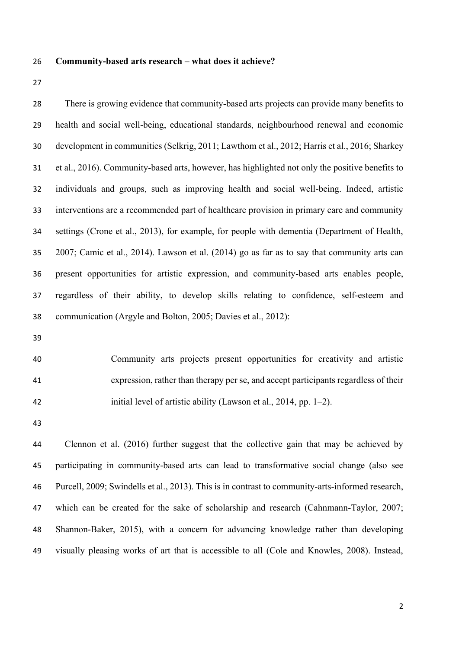#### **Community-based arts research – what does it achieve?**

| 28         | There is growing evidence that community-based arts projects can provide many benefits to       |
|------------|-------------------------------------------------------------------------------------------------|
| 29         | health and social well-being, educational standards, neighbourhood renewal and economic         |
| 30         | development in communities (Selkrig, 2011; Lawthom et al., 2012; Harris et al., 2016; Sharkey   |
| 31         | et al., 2016). Community-based arts, however, has highlighted not only the positive benefits to |
| 32         | individuals and groups, such as improving health and social well-being. Indeed, artistic        |
| 33         | interventions are a recommended part of healthcare provision in primary care and community      |
| 34         | settings (Crone et al., 2013), for example, for people with dementia (Department of Health,     |
| 35         | 2007; Camic et al., 2014). Lawson et al. (2014) go as far as to say that community arts can     |
| 36         | present opportunities for artistic expression, and community-based arts enables people,         |
| 37         | regardless of their ability, to develop skills relating to confidence, self-esteem and          |
| 38         | communication (Argyle and Bolton, 2005; Davies et al., 2012):                                   |
| 39         |                                                                                                 |
| $\sqrt{2}$ | Community only uncleate mosquet consentmine for exceptivity and subjects                        |

 Community arts projects present opportunities for creativity and artistic expression, rather than therapy per se, and accept participants regardless of their initial level of artistic ability (Lawson et al., 2014, pp. 1–2).

 Clennon et al. (2016) further suggest that the collective gain that may be achieved by participating in community-based arts can lead to transformative social change (also see Purcell, 2009; Swindells et al., 2013). This is in contrast to community-arts-informed research, which can be created for the sake of scholarship and research (Cahnmann-Taylor, 2007; Shannon-Baker, 2015), with a concern for advancing knowledge rather than developing visually pleasing works of art that is accessible to all (Cole and Knowles, 2008). Instead,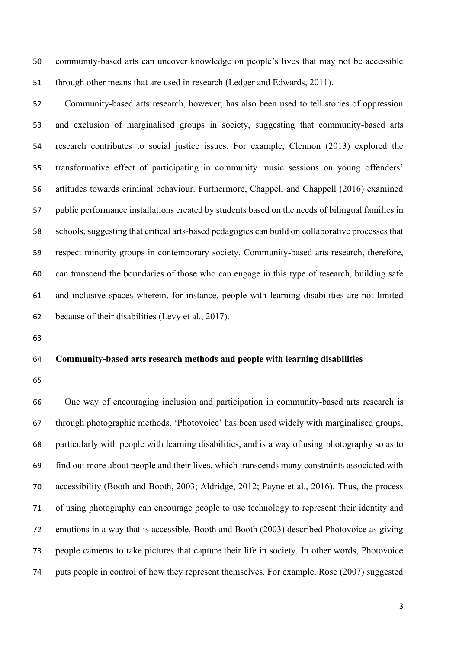community-based arts can uncover knowledge on people's lives that may not be accessible through other means that are used in research (Ledger and Edwards, 2011).

 Community-based arts research, however, has also been used to tell stories of oppression and exclusion of marginalised groups in society, suggesting that community-based arts research contributes to social justice issues. For example, Clennon (2013) explored the transformative effect of participating in community music sessions on young offenders' attitudes towards criminal behaviour. Furthermore, Chappell and Chappell (2016) examined public performance installations created by students based on the needs of bilingual families in schools, suggesting that critical arts-based pedagogies can build on collaborative processes that respect minority groups in contemporary society. Community-based arts research, therefore, can transcend the boundaries of those who can engage in this type of research, building safe and inclusive spaces wherein, for instance, people with learning disabilities are not limited because of their disabilities (Levy et al., 2017).

#### **Community-based arts research methods and people with learning disabilities**

 One way of encouraging inclusion and participation in community-based arts research is through photographic methods. 'Photovoice' has been used widely with marginalised groups, particularly with people with learning disabilities, and is a way of using photography so as to find out more about people and their lives, which transcends many constraints associated with accessibility (Booth and Booth, 2003; Aldridge, 2012; Payne et al., 2016). Thus, the process of using photography can encourage people to use technology to represent their identity and emotions in a way that is accessible. Booth and Booth (2003) described Photovoice as giving people cameras to take pictures that capture their life in society. In other words, Photovoice puts people in control of how they represent themselves. For example, Rose (2007) suggested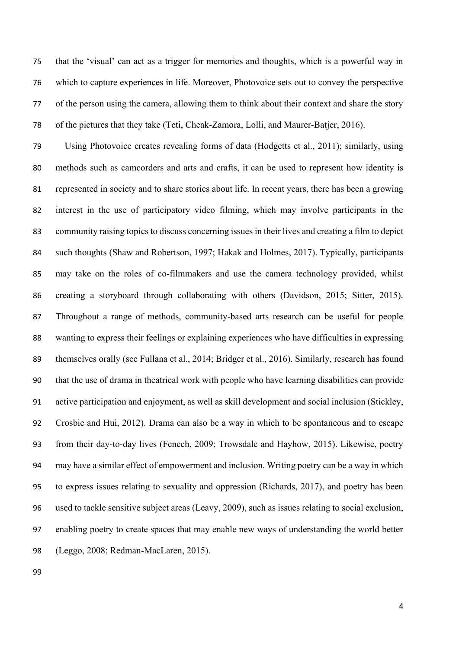that the 'visual' can act as a trigger for memories and thoughts, which is a powerful way in which to capture experiences in life. Moreover, Photovoice sets out to convey the perspective of the person using the camera, allowing them to think about their context and share the story of the pictures that they take (Teti, Cheak-Zamora, Lolli, and Maurer-Batjer, 2016).

 Using Photovoice creates revealing forms of data (Hodgetts et al., 2011); similarly, using methods such as camcorders and arts and crafts, it can be used to represent how identity is represented in society and to share stories about life. In recent years, there has been a growing interest in the use of participatory video filming, which may involve participants in the community raising topics to discuss concerning issues in their lives and creating a film to depict such thoughts (Shaw and Robertson, 1997; Hakak and Holmes, 2017). Typically, participants may take on the roles of co-filmmakers and use the camera technology provided, whilst creating a storyboard through collaborating with others (Davidson, 2015; Sitter, 2015). Throughout a range of methods, community-based arts research can be useful for people wanting to express their feelings or explaining experiences who have difficulties in expressing themselves orally (see Fullana et al., 2014; Bridger et al., 2016). Similarly, research has found that the use of drama in theatrical work with people who have learning disabilities can provide active participation and enjoyment, as well as skill development and social inclusion (Stickley, Crosbie and Hui, 2012). Drama can also be a way in which to be spontaneous and to escape from their day-to-day lives (Fenech, 2009; Trowsdale and Hayhow, 2015). Likewise, poetry may have a similar effect of empowerment and inclusion. Writing poetry can be a way in which to express issues relating to sexuality and oppression (Richards, 2017), and poetry has been used to tackle sensitive subject areas (Leavy, 2009), such as issues relating to social exclusion, enabling poetry to create spaces that may enable new ways of understanding the world better (Leggo, 2008; Redman-MacLaren, 2015).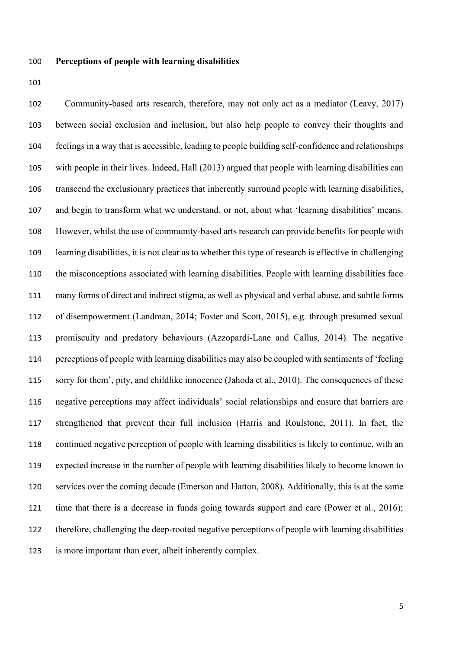#### **Perceptions of people with learning disabilities**

 Community-based arts research, therefore, may not only act as a mediator (Leavy, 2017) between social exclusion and inclusion, but also help people to convey their thoughts and feelings in a way that is accessible, leading to people building self-confidence and relationships with people in their lives. Indeed, Hall (2013) argued that people with learning disabilities can transcend the exclusionary practices that inherently surround people with learning disabilities, and begin to transform what we understand, or not, about what 'learning disabilities' means. However, whilst the use of community-based arts research can provide benefits for people with learning disabilities, it is not clear as to whether this type of research is effective in challenging the misconceptions associated with learning disabilities. People with learning disabilities face many forms of direct and indirect stigma, as well as physical and verbal abuse, and subtle forms of disempowerment (Landman, 2014; Foster and Scott, 2015), e.g. through presumed sexual promiscuity and predatory behaviours (Azzopardi-Lane and Callus, 2014). The negative perceptions of people with learning disabilities may also be coupled with sentiments of 'feeling sorry for them', pity, and childlike innocence (Jahoda et al., 2010). The consequences of these negative perceptions may affect individuals' social relationships and ensure that barriers are strengthened that prevent their full inclusion (Harris and Roulstone, 2011). In fact, the continued negative perception of people with learning disabilities is likely to continue, with an expected increase in the number of people with learning disabilities likely to become known to services over the coming decade (Emerson and Hatton, 2008). Additionally, this is at the same 121 time that there is a decrease in funds going towards support and care (Power et al., 2016); therefore, challenging the deep-rooted negative perceptions of people with learning disabilities is more important than ever, albeit inherently complex.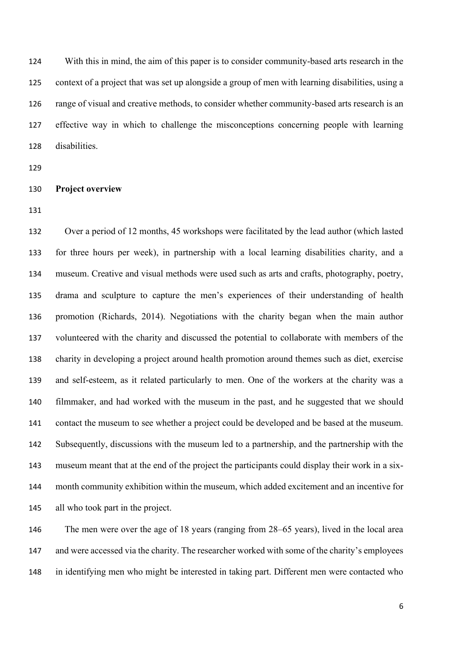With this in mind, the aim of this paper is to consider community-based arts research in the context of a project that was set up alongside a group of men with learning disabilities, using a range of visual and creative methods, to consider whether community-based arts research is an effective way in which to challenge the misconceptions concerning people with learning disabilities.

#### **Project overview**

 Over a period of 12 months, 45 workshops were facilitated by the lead author (which lasted for three hours per week), in partnership with a local learning disabilities charity, and a museum. Creative and visual methods were used such as arts and crafts, photography, poetry, drama and sculpture to capture the men's experiences of their understanding of health promotion (Richards, 2014). Negotiations with the charity began when the main author volunteered with the charity and discussed the potential to collaborate with members of the charity in developing a project around health promotion around themes such as diet, exercise and self-esteem, as it related particularly to men. One of the workers at the charity was a filmmaker, and had worked with the museum in the past, and he suggested that we should contact the museum to see whether a project could be developed and be based at the museum. Subsequently, discussions with the museum led to a partnership, and the partnership with the museum meant that at the end of the project the participants could display their work in a six- month community exhibition within the museum, which added excitement and an incentive for all who took part in the project.

 The men were over the age of 18 years (ranging from 28–65 years), lived in the local area and were accessed via the charity. The researcher worked with some of the charity's employees in identifying men who might be interested in taking part. Different men were contacted who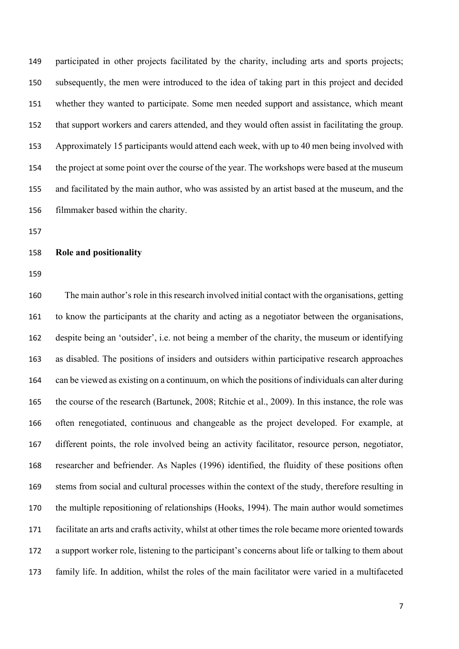participated in other projects facilitated by the charity, including arts and sports projects; subsequently, the men were introduced to the idea of taking part in this project and decided whether they wanted to participate. Some men needed support and assistance, which meant that support workers and carers attended, and they would often assist in facilitating the group. Approximately 15 participants would attend each week, with up to 40 men being involved with the project at some point over the course of the year. The workshops were based at the museum and facilitated by the main author, who was assisted by an artist based at the museum, and the filmmaker based within the charity.

## **Role and positionality**

 The main author's role in this research involved initial contact with the organisations, getting to know the participants at the charity and acting as a negotiator between the organisations, despite being an 'outsider', i.e. not being a member of the charity, the museum or identifying as disabled. The positions of insiders and outsiders within participative research approaches can be viewed as existing on a continuum, on which the positions of individuals can alter during the course of the research (Bartunek, 2008; Ritchie et al., 2009). In this instance, the role was often renegotiated, continuous and changeable as the project developed. For example, at different points, the role involved being an activity facilitator, resource person, negotiator, researcher and befriender. As Naples (1996) identified, the fluidity of these positions often stems from social and cultural processes within the context of the study, therefore resulting in the multiple repositioning of relationships (Hooks, 1994). The main author would sometimes facilitate an arts and crafts activity, whilst at other times the role became more oriented towards a support worker role, listening to the participant's concerns about life or talking to them about family life. In addition, whilst the roles of the main facilitator were varied in a multifaceted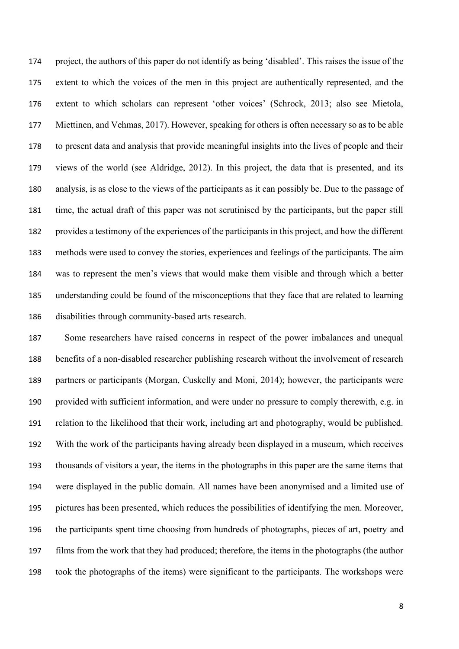project, the authors of this paper do not identify as being 'disabled'. This raises the issue of the extent to which the voices of the men in this project are authentically represented, and the extent to which scholars can represent 'other voices' (Schrock, 2013; also see Mietola, Miettinen, and Vehmas, 2017). However, speaking for others is often necessary so as to be able to present data and analysis that provide meaningful insights into the lives of people and their views of the world (see Aldridge, 2012). In this project, the data that is presented, and its analysis, is as close to the views of the participants as it can possibly be. Due to the passage of time, the actual draft of this paper was not scrutinised by the participants, but the paper still provides a testimony of the experiences of the participants in this project, and how the different methods were used to convey the stories, experiences and feelings of the participants. The aim was to represent the men's views that would make them visible and through which a better understanding could be found of the misconceptions that they face that are related to learning disabilities through community-based arts research.

 Some researchers have raised concerns in respect of the power imbalances and unequal benefits of a non-disabled researcher publishing research without the involvement of research partners or participants (Morgan, Cuskelly and Moni, 2014); however, the participants were provided with sufficient information, and were under no pressure to comply therewith, e.g. in relation to the likelihood that their work, including art and photography, would be published. With the work of the participants having already been displayed in a museum, which receives thousands of visitors a year, the items in the photographs in this paper are the same items that were displayed in the public domain. All names have been anonymised and a limited use of pictures has been presented, which reduces the possibilities of identifying the men. Moreover, the participants spent time choosing from hundreds of photographs, pieces of art, poetry and films from the work that they had produced; therefore, the items in the photographs (the author took the photographs of the items) were significant to the participants. The workshops were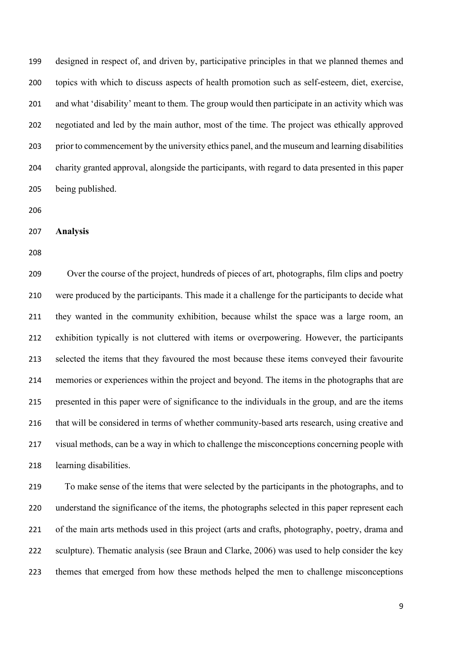designed in respect of, and driven by, participative principles in that we planned themes and topics with which to discuss aspects of health promotion such as self-esteem, diet, exercise, and what 'disability' meant to them. The group would then participate in an activity which was negotiated and led by the main author, most of the time. The project was ethically approved prior to commencement by the university ethics panel, and the museum and learning disabilities charity granted approval, alongside the participants, with regard to data presented in this paper being published.

**Analysis**

 Over the course of the project, hundreds of pieces of art, photographs, film clips and poetry were produced by the participants. This made it a challenge for the participants to decide what they wanted in the community exhibition, because whilst the space was a large room, an exhibition typically is not cluttered with items or overpowering. However, the participants selected the items that they favoured the most because these items conveyed their favourite memories or experiences within the project and beyond. The items in the photographs that are presented in this paper were of significance to the individuals in the group, and are the items that will be considered in terms of whether community-based arts research, using creative and visual methods, can be a way in which to challenge the misconceptions concerning people with learning disabilities.

 To make sense of the items that were selected by the participants in the photographs, and to understand the significance of the items, the photographs selected in this paper represent each of the main arts methods used in this project (arts and crafts, photography, poetry, drama and sculpture). Thematic analysis (see Braun and Clarke, 2006) was used to help consider the key themes that emerged from how these methods helped the men to challenge misconceptions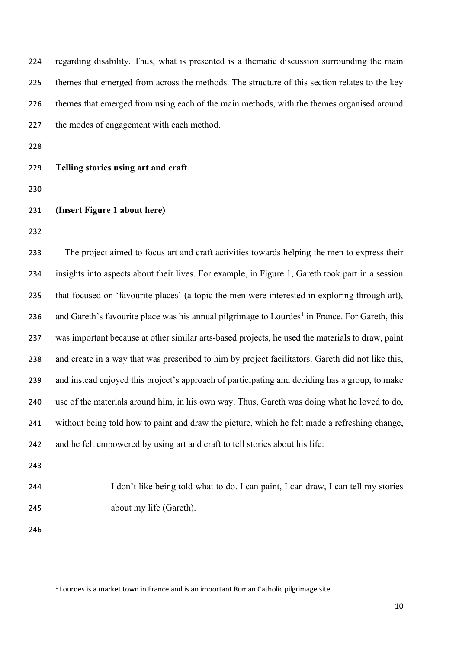| 224 | regarding disability. Thus, what is presented is a thematic discussion surrounding the main                |
|-----|------------------------------------------------------------------------------------------------------------|
| 225 | themes that emerged from across the methods. The structure of this section relates to the key              |
| 226 | themes that emerged from using each of the main methods, with the themes organised around                  |
| 227 | the modes of engagement with each method.                                                                  |
| 228 |                                                                                                            |
| 229 | Telling stories using art and craft                                                                        |
| 230 |                                                                                                            |
| 231 | (Insert Figure 1 about here)                                                                               |
| 232 |                                                                                                            |
| 233 | The project aimed to focus art and craft activities towards helping the men to express their               |
| 234 | insights into aspects about their lives. For example, in Figure 1, Gareth took part in a session           |
| 235 | that focused on 'favourite places' (a topic the men were interested in exploring through art),             |
| 236 | and Gareth's favourite place was his annual pilgrimage to Lourdes <sup>1</sup> in France. For Gareth, this |
| 237 | was important because at other similar arts-based projects, he used the materials to draw, paint           |
| 238 | and create in a way that was prescribed to him by project facilitators. Gareth did not like this,          |
| 239 | and instead enjoyed this project's approach of participating and deciding has a group, to make             |
| 240 | use of the materials around him, in his own way. Thus, Gareth was doing what he loved to do,               |
| 241 | without being told how to paint and draw the picture, which he felt made a refreshing change,              |
| 242 | and he felt empowered by using art and craft to tell stories about his life:                               |
| 243 |                                                                                                            |
| 244 | I don't like being told what to do. I can paint, I can draw, I can tell my stories                         |
| 245 | about my life (Gareth).                                                                                    |
| 246 |                                                                                                            |

 $<sup>1</sup>$  Lourdes is a market town in France and is an important Roman Catholic pilgrimage site.</sup>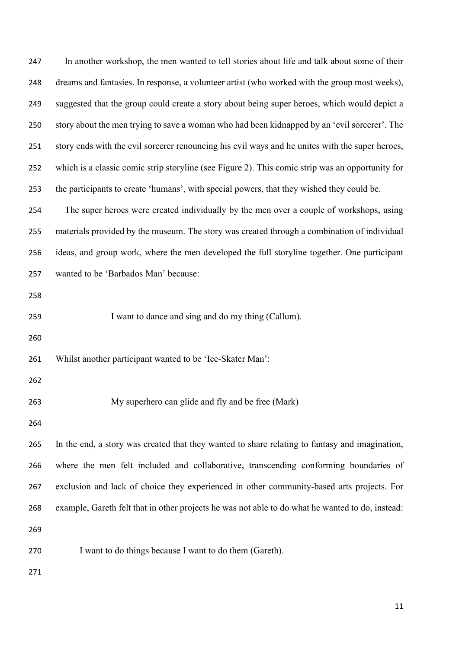| 247 | In another workshop, the men wanted to tell stories about life and talk about some of their      |
|-----|--------------------------------------------------------------------------------------------------|
| 248 | dreams and fantasies. In response, a volunteer artist (who worked with the group most weeks),    |
| 249 | suggested that the group could create a story about being super heroes, which would depict a     |
| 250 | story about the men trying to save a woman who had been kidnapped by an 'evil sorcerer'. The     |
| 251 | story ends with the evil sorcerer renouncing his evil ways and he unites with the super heroes,  |
| 252 | which is a classic comic strip storyline (see Figure 2). This comic strip was an opportunity for |
| 253 | the participants to create 'humans', with special powers, that they wished they could be.        |
| 254 | The super heroes were created individually by the men over a couple of workshops, using          |
| 255 | materials provided by the museum. The story was created through a combination of individual      |
| 256 | ideas, and group work, where the men developed the full storyline together. One participant      |
| 257 | wanted to be 'Barbados Man' because:                                                             |
| 258 |                                                                                                  |
| 259 | I want to dance and sing and do my thing (Callum).                                               |
| 260 |                                                                                                  |
| 261 | Whilst another participant wanted to be 'Ice-Skater Man':                                        |
| 262 |                                                                                                  |
| 263 | My superhero can glide and fly and be free (Mark)                                                |
| 264 |                                                                                                  |
| 265 | In the end, a story was created that they wanted to share relating to fantasy and imagination,   |
| 266 | where the men felt included and collaborative, transcending conforming boundaries of             |
| 267 | exclusion and lack of choice they experienced in other community-based arts projects. For        |
| 268 | example, Gareth felt that in other projects he was not able to do what he wanted to do, instead: |
| 269 |                                                                                                  |
| 270 | I want to do things because I want to do them (Gareth).                                          |
| 271 |                                                                                                  |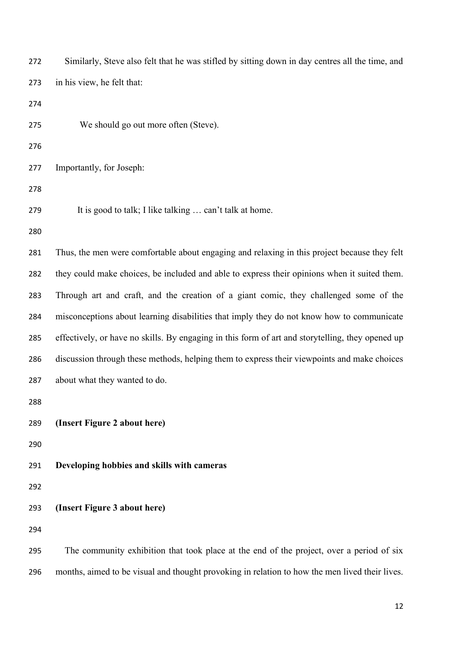| 272 | Similarly, Steve also felt that he was stifled by sitting down in day centres all the time, and  |
|-----|--------------------------------------------------------------------------------------------------|
| 273 | in his view, he felt that:                                                                       |
| 274 |                                                                                                  |
| 275 | We should go out more often (Steve).                                                             |
| 276 |                                                                                                  |
| 277 | Importantly, for Joseph:                                                                         |
| 278 |                                                                                                  |
| 279 | It is good to talk; I like talking  can't talk at home.                                          |
| 280 |                                                                                                  |
| 281 | Thus, the men were comfortable about engaging and relaxing in this project because they felt     |
| 282 | they could make choices, be included and able to express their opinions when it suited them.     |
| 283 | Through art and craft, and the creation of a giant comic, they challenged some of the            |
| 284 | misconceptions about learning disabilities that imply they do not know how to communicate        |
| 285 | effectively, or have no skills. By engaging in this form of art and storytelling, they opened up |
| 286 | discussion through these methods, helping them to express their viewpoints and make choices      |
| 287 | about what they wanted to do.                                                                    |
| 288 |                                                                                                  |
| 289 | (Insert Figure 2 about here)                                                                     |
| 290 |                                                                                                  |
| 291 | Developing hobbies and skills with cameras                                                       |
| 292 |                                                                                                  |
| 293 | (Insert Figure 3 about here)                                                                     |
| 294 |                                                                                                  |
| 295 | The community exhibition that took place at the end of the project, over a period of six         |
| 296 | months, aimed to be visual and thought provoking in relation to how the men lived their lives.   |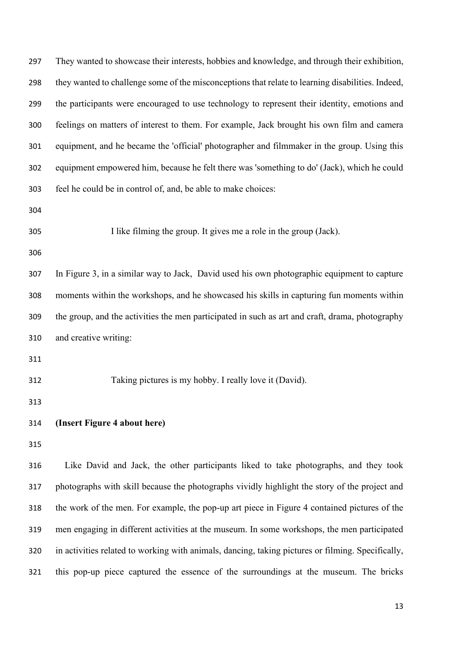| 297 | They wanted to showcase their interests, hobbies and knowledge, and through their exhibition,     |
|-----|---------------------------------------------------------------------------------------------------|
| 298 | they wanted to challenge some of the misconceptions that relate to learning disabilities. Indeed, |
| 299 | the participants were encouraged to use technology to represent their identity, emotions and      |
| 300 | feelings on matters of interest to them. For example, Jack brought his own film and camera        |
| 301 | equipment, and he became the 'official' photographer and filmmaker in the group. Using this       |
| 302 | equipment empowered him, because he felt there was 'something to do' (Jack), which he could       |
| 303 | feel he could be in control of, and, be able to make choices:                                     |
| 304 |                                                                                                   |
| 305 | I like filming the group. It gives me a role in the group (Jack).                                 |
| 306 |                                                                                                   |
| 307 | In Figure 3, in a similar way to Jack, David used his own photographic equipment to capture       |
| 308 | moments within the workshops, and he showcased his skills in capturing fun moments within         |
| 309 | the group, and the activities the men participated in such as art and craft, drama, photography   |
| 310 | and creative writing:                                                                             |
| 311 |                                                                                                   |
| 312 | Taking pictures is my hobby. I really love it (David).                                            |
| 313 |                                                                                                   |
| 314 | (Insert Figure 4 about here)                                                                      |
| 315 |                                                                                                   |
| 316 | Like David and Jack, the other participants liked to take photographs, and they took              |
| 317 | photographs with skill because the photographs vividly highlight the story of the project and     |
| 318 | the work of the men. For example, the pop-up art piece in Figure 4 contained pictures of the      |
| 319 | men engaging in different activities at the museum. In some workshops, the men participated       |
| 320 | in activities related to working with animals, dancing, taking pictures or filming. Specifically, |
|     |                                                                                                   |

this pop-up piece captured the essence of the surroundings at the museum. The bricks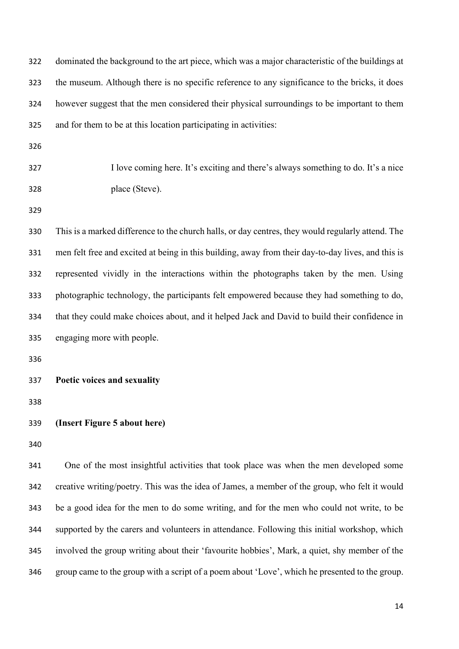| 322 | dominated the background to the art piece, which was a major characteristic of the buildings at    |
|-----|----------------------------------------------------------------------------------------------------|
| 323 | the museum. Although there is no specific reference to any significance to the bricks, it does     |
| 324 | however suggest that the men considered their physical surroundings to be important to them        |
| 325 | and for them to be at this location participating in activities:                                   |
| 326 |                                                                                                    |
| 327 | I love coming here. It's exciting and there's always something to do. It's a nice                  |
| 328 | place (Steve).                                                                                     |
| 329 |                                                                                                    |
| 330 | This is a marked difference to the church halls, or day centres, they would regularly attend. The  |
| 331 | men felt free and excited at being in this building, away from their day-to-day lives, and this is |
| 332 | represented vividly in the interactions within the photographs taken by the men. Using             |
| 333 | photographic technology, the participants felt empowered because they had something to do,         |
| 334 | that they could make choices about, and it helped Jack and David to build their confidence in      |
| 335 | engaging more with people.                                                                         |
| 336 |                                                                                                    |
| 337 | Poetic voices and sexuality                                                                        |
| 338 |                                                                                                    |
| 339 | (Insert Figure 5 about here)                                                                       |
| 340 |                                                                                                    |
| 341 | One of the most insightful activities that took place was when the men developed some              |
| 342 | creative writing/poetry. This was the idea of James, a member of the group, who felt it would      |
| 343 | be a good idea for the men to do some writing, and for the men who could not write, to be          |
| 344 | supported by the carers and volunteers in attendance. Following this initial workshop, which       |
| 345 | involved the group writing about their 'favourite hobbies', Mark, a quiet, shy member of the       |
| 346 | group came to the group with a script of a poem about 'Love', which he presented to the group.     |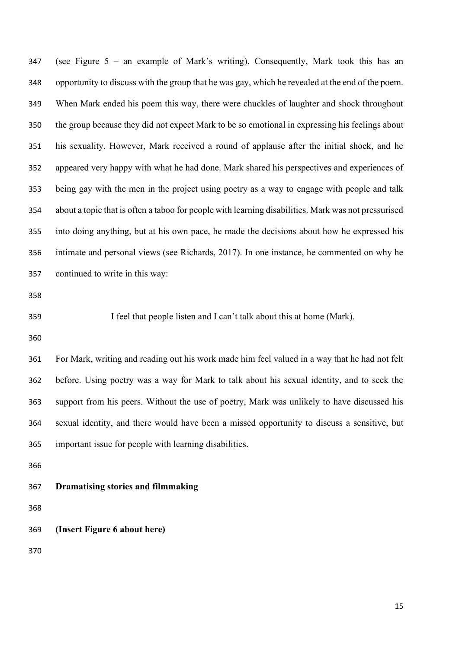| 347 | (see Figure $5$ – an example of Mark's writing). Consequently, Mark took this has an                |
|-----|-----------------------------------------------------------------------------------------------------|
| 348 | opportunity to discuss with the group that he was gay, which he revealed at the end of the poem.    |
| 349 | When Mark ended his poem this way, there were chuckles of laughter and shock throughout             |
| 350 | the group because they did not expect Mark to be so emotional in expressing his feelings about      |
| 351 | his sexuality. However, Mark received a round of applause after the initial shock, and he           |
| 352 | appeared very happy with what he had done. Mark shared his perspectives and experiences of          |
| 353 | being gay with the men in the project using poetry as a way to engage with people and talk          |
| 354 | about a topic that is often a taboo for people with learning disabilities. Mark was not pressurised |
| 355 | into doing anything, but at his own pace, he made the decisions about how he expressed his          |
| 356 | intimate and personal views (see Richards, 2017). In one instance, he commented on why he           |
| 357 | continued to write in this way:                                                                     |
| 358 |                                                                                                     |
| 359 | I feel that people listen and I can't talk about this at home (Mark).                               |
| 360 |                                                                                                     |
| 361 | For Mark, writing and reading out his work made him feel valued in a way that he had not felt       |
| 362 | before. Using poetry was a way for Mark to talk about his sexual identity, and to seek the          |
| 363 | support from his peers. Without the use of poetry, Mark was unlikely to have discussed his          |
| 364 | sexual identity, and there would have been a missed opportunity to discuss a sensitive, but         |
| 365 | important issue for people with learning disabilities.                                              |
| 366 |                                                                                                     |
| 367 | <b>Dramatising stories and filmmaking</b>                                                           |
| 368 |                                                                                                     |
| 369 | (Insert Figure 6 about here)                                                                        |
| 370 |                                                                                                     |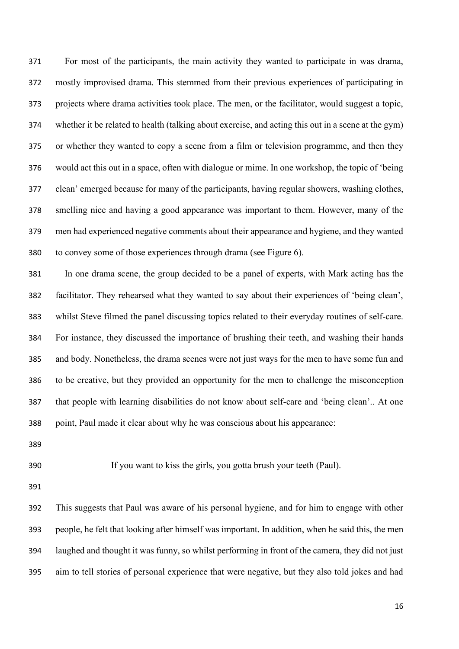For most of the participants, the main activity they wanted to participate in was drama, mostly improvised drama. This stemmed from their previous experiences of participating in projects where drama activities took place. The men, or the facilitator, would suggest a topic, whether it be related to health (talking about exercise, and acting this out in a scene at the gym) or whether they wanted to copy a scene from a film or television programme, and then they would act this out in a space, often with dialogue or mime. In one workshop, the topic of 'being clean' emerged because for many of the participants, having regular showers, washing clothes, smelling nice and having a good appearance was important to them. However, many of the men had experienced negative comments about their appearance and hygiene, and they wanted to convey some of those experiences through drama (see Figure 6).

 In one drama scene, the group decided to be a panel of experts, with Mark acting has the facilitator. They rehearsed what they wanted to say about their experiences of 'being clean', whilst Steve filmed the panel discussing topics related to their everyday routines of self-care. For instance, they discussed the importance of brushing their teeth, and washing their hands and body. Nonetheless, the drama scenes were not just ways for the men to have some fun and to be creative, but they provided an opportunity for the men to challenge the misconception that people with learning disabilities do not know about self-care and 'being clean'.. At one point, Paul made it clear about why he was conscious about his appearance:

If you want to kiss the girls, you gotta brush your teeth (Paul).

 This suggests that Paul was aware of his personal hygiene, and for him to engage with other people, he felt that looking after himself was important. In addition, when he said this, the men laughed and thought it was funny, so whilst performing in front of the camera, they did not just aim to tell stories of personal experience that were negative, but they also told jokes and had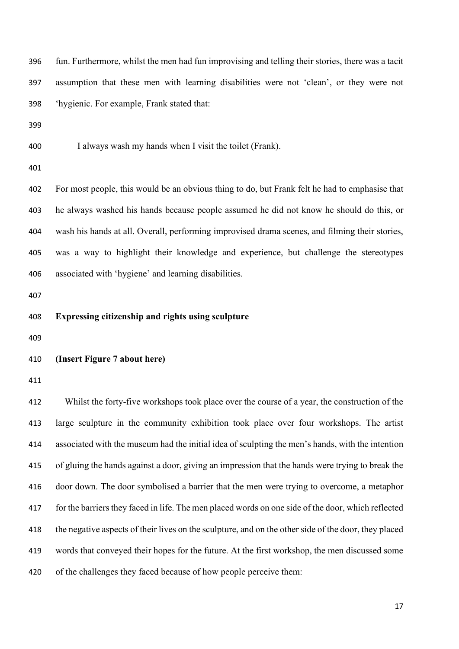fun. Furthermore, whilst the men had fun improvising and telling their stories, there was a tacit assumption that these men with learning disabilities were not 'clean', or they were not 'hygienic. For example, Frank stated that: I always wash my hands when I visit the toilet (Frank). For most people, this would be an obvious thing to do, but Frank felt he had to emphasise that he always washed his hands because people assumed he did not know he should do this, or

 wash his hands at all. Overall, performing improvised drama scenes, and filming their stories, was a way to highlight their knowledge and experience, but challenge the stereotypes associated with 'hygiene' and learning disabilities.

### **Expressing citizenship and rights using sculpture**

#### **(Insert Figure 7 about here)**

 Whilst the forty-five workshops took place over the course of a year, the construction of the large sculpture in the community exhibition took place over four workshops. The artist associated with the museum had the initial idea of sculpting the men's hands, with the intention of gluing the hands against a door, giving an impression that the hands were trying to break the door down. The door symbolised a barrier that the men were trying to overcome, a metaphor for the barriers they faced in life. The men placed words on one side of the door, which reflected the negative aspects of their lives on the sculpture, and on the other side of the door, they placed words that conveyed their hopes for the future. At the first workshop, the men discussed some of the challenges they faced because of how people perceive them: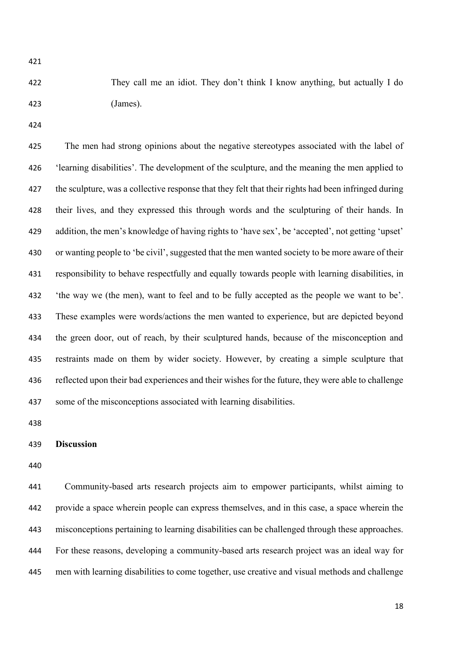They call me an idiot. They don't think I know anything, but actually I do (James).

 The men had strong opinions about the negative stereotypes associated with the label of 'learning disabilities'. The development of the sculpture, and the meaning the men applied to 427 the sculpture, was a collective response that they felt that their rights had been infringed during their lives, and they expressed this through words and the sculpturing of their hands. In addition, the men's knowledge of having rights to 'have sex', be 'accepted', not getting 'upset' or wanting people to 'be civil', suggested that the men wanted society to be more aware of their responsibility to behave respectfully and equally towards people with learning disabilities, in 'the way we (the men), want to feel and to be fully accepted as the people we want to be'. These examples were words/actions the men wanted to experience, but are depicted beyond the green door, out of reach, by their sculptured hands, because of the misconception and restraints made on them by wider society. However, by creating a simple sculpture that reflected upon their bad experiences and their wishes for the future, they were able to challenge some of the misconceptions associated with learning disabilities.

#### **Discussion**

 Community-based arts research projects aim to empower participants, whilst aiming to provide a space wherein people can express themselves, and in this case, a space wherein the misconceptions pertaining to learning disabilities can be challenged through these approaches. For these reasons, developing a community-based arts research project was an ideal way for men with learning disabilities to come together, use creative and visual methods and challenge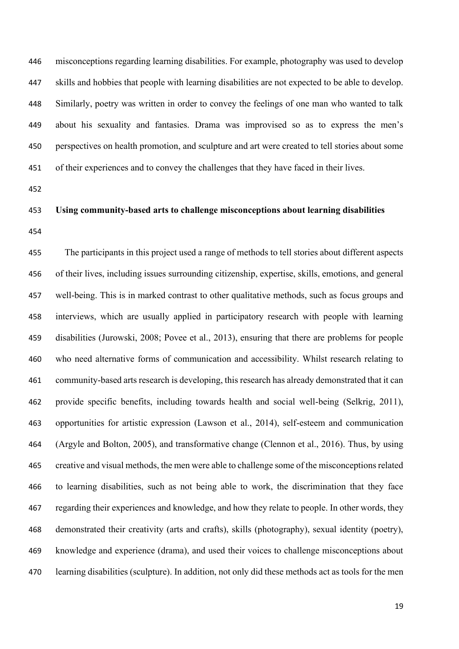misconceptions regarding learning disabilities. For example, photography was used to develop skills and hobbies that people with learning disabilities are not expected to be able to develop. Similarly, poetry was written in order to convey the feelings of one man who wanted to talk about his sexuality and fantasies. Drama was improvised so as to express the men's perspectives on health promotion, and sculpture and art were created to tell stories about some of their experiences and to convey the challenges that they have faced in their lives.

#### **Using community-based arts to challenge misconceptions about learning disabilities**

 The participants in this project used a range of methods to tell stories about different aspects of their lives, including issues surrounding citizenship, expertise, skills, emotions, and general well-being. This is in marked contrast to other qualitative methods, such as focus groups and interviews, which are usually applied in participatory research with people with learning disabilities (Jurowski, 2008; Povee et al., 2013), ensuring that there are problems for people who need alternative forms of communication and accessibility. Whilst research relating to community-based arts research is developing, this research has already demonstrated that it can provide specific benefits, including towards health and social well-being (Selkrig, 2011), opportunities for artistic expression (Lawson et al., 2014), self-esteem and communication (Argyle and Bolton, 2005), and transformative change (Clennon et al., 2016). Thus, by using creative and visual methods, the men were able to challenge some of the misconceptions related to learning disabilities, such as not being able to work, the discrimination that they face regarding their experiences and knowledge, and how they relate to people. In other words, they demonstrated their creativity (arts and crafts), skills (photography), sexual identity (poetry), knowledge and experience (drama), and used their voices to challenge misconceptions about learning disabilities (sculpture). In addition, not only did these methods act as tools for the men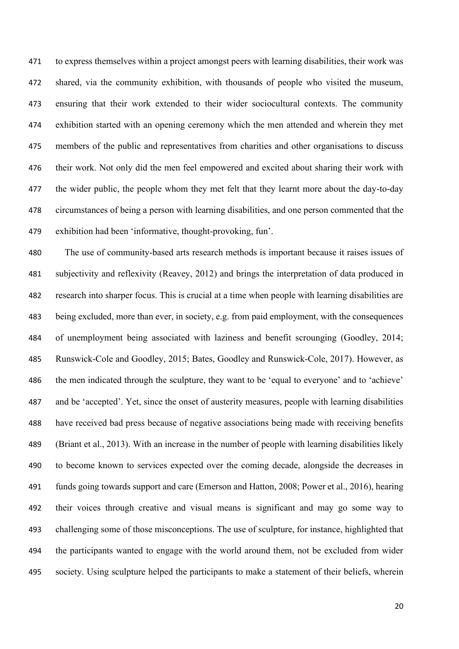to express themselves within a project amongst peers with learning disabilities, their work was shared, via the community exhibition, with thousands of people who visited the museum, ensuring that their work extended to their wider sociocultural contexts. The community exhibition started with an opening ceremony which the men attended and wherein they met members of the public and representatives from charities and other organisations to discuss their work. Not only did the men feel empowered and excited about sharing their work with 477 the wider public, the people whom they met felt that they learnt more about the day-to-day circumstances of being a person with learning disabilities, and one person commented that the exhibition had been 'informative, thought-provoking, fun'.

 The use of community-based arts research methods is important because it raises issues of subjectivity and reflexivity (Reavey, 2012) and brings the interpretation of data produced in research into sharper focus. This is crucial at a time when people with learning disabilities are being excluded, more than ever, in society, e.g. from paid employment, with the consequences of unemployment being associated with laziness and benefit scrounging (Goodley, 2014; Runswick-Cole and Goodley, 2015; Bates, Goodley and Runswick-Cole, 2017). However, as the men indicated through the sculpture, they want to be 'equal to everyone' and to 'achieve' and be 'accepted'. Yet, since the onset of austerity measures, people with learning disabilities have received bad press because of negative associations being made with receiving benefits (Briant et al., 2013). With an increase in the number of people with learning disabilities likely to become known to services expected over the coming decade, alongside the decreases in funds going towards support and care (Emerson and Hatton, 2008; Power et al., 2016), hearing their voices through creative and visual means is significant and may go some way to challenging some of those misconceptions. The use of sculpture, for instance, highlighted that the participants wanted to engage with the world around them, not be excluded from wider society. Using sculpture helped the participants to make a statement of their beliefs, wherein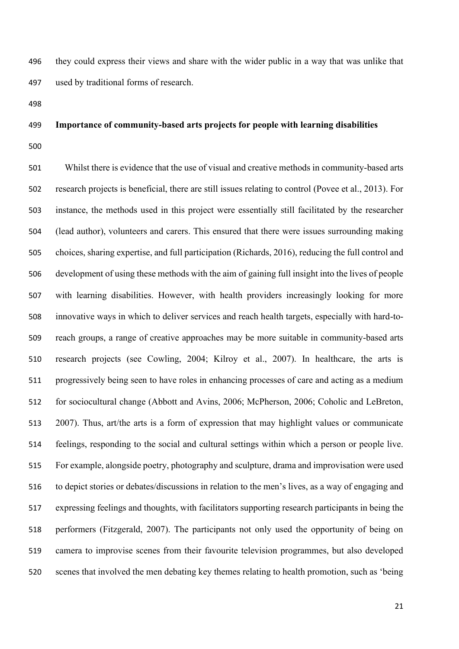they could express their views and share with the wider public in a way that was unlike that used by traditional forms of research.

## **Importance of community-based arts projects for people with learning disabilities**

 Whilst there is evidence that the use of visual and creative methods in community-based arts research projects is beneficial, there are still issues relating to control (Povee et al., 2013). For instance, the methods used in this project were essentially still facilitated by the researcher (lead author), volunteers and carers. This ensured that there were issues surrounding making choices, sharing expertise, and full participation (Richards, 2016), reducing the full control and development of using these methods with the aim of gaining full insight into the lives of people with learning disabilities. However, with health providers increasingly looking for more innovative ways in which to deliver services and reach health targets, especially with hard-to- reach groups, a range of creative approaches may be more suitable in community-based arts research projects (see Cowling, 2004; Kilroy et al., 2007). In healthcare, the arts is progressively being seen to have roles in enhancing processes of care and acting as a medium for sociocultural change (Abbott and Avins, 2006; McPherson, 2006; Coholic and LeBreton, 2007). Thus, art/the arts is a form of expression that may highlight values or communicate feelings, responding to the social and cultural settings within which a person or people live. For example, alongside poetry, photography and sculpture, drama and improvisation were used to depict stories or debates/discussions in relation to the men's lives, as a way of engaging and expressing feelings and thoughts, with facilitators supporting research participants in being the performers (Fitzgerald, 2007). The participants not only used the opportunity of being on camera to improvise scenes from their favourite television programmes, but also developed scenes that involved the men debating key themes relating to health promotion, such as 'being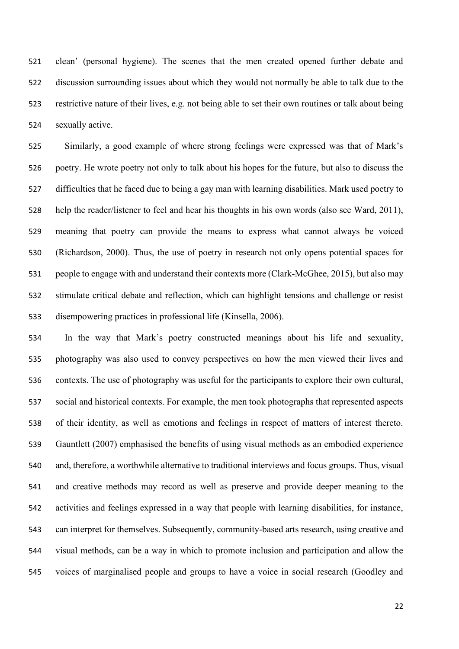clean' (personal hygiene). The scenes that the men created opened further debate and discussion surrounding issues about which they would not normally be able to talk due to the restrictive nature of their lives, e.g. not being able to set their own routines or talk about being sexually active.

 Similarly, a good example of where strong feelings were expressed was that of Mark's poetry. He wrote poetry not only to talk about his hopes for the future, but also to discuss the difficulties that he faced due to being a gay man with learning disabilities. Mark used poetry to help the reader/listener to feel and hear his thoughts in his own words (also see Ward, 2011), meaning that poetry can provide the means to express what cannot always be voiced (Richardson, 2000). Thus, the use of poetry in research not only opens potential spaces for people to engage with and understand their contexts more (Clark-McGhee, 2015), but also may stimulate critical debate and reflection, which can highlight tensions and challenge or resist disempowering practices in professional life (Kinsella, 2006).

 In the way that Mark's poetry constructed meanings about his life and sexuality, photography was also used to convey perspectives on how the men viewed their lives and contexts. The use of photography was useful for the participants to explore their own cultural, social and historical contexts. For example, the men took photographs that represented aspects of their identity, as well as emotions and feelings in respect of matters of interest thereto. Gauntlett (2007) emphasised the benefits of using visual methods as an embodied experience and, therefore, a worthwhile alternative to traditional interviews and focus groups. Thus, visual and creative methods may record as well as preserve and provide deeper meaning to the activities and feelings expressed in a way that people with learning disabilities, for instance, can interpret for themselves. Subsequently, community-based arts research, using creative and visual methods, can be a way in which to promote inclusion and participation and allow the voices of marginalised people and groups to have a voice in social research (Goodley and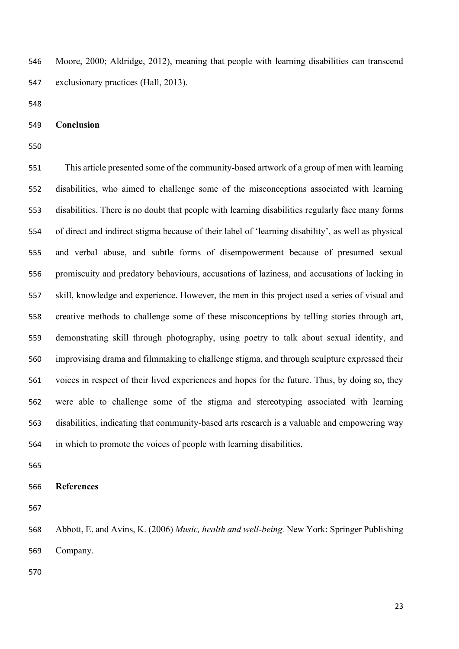Moore, 2000; Aldridge, 2012), meaning that people with learning disabilities can transcend exclusionary practices (Hall, 2013).

**Conclusion**

 This article presented some of the community-based artwork of a group of men with learning disabilities, who aimed to challenge some of the misconceptions associated with learning disabilities. There is no doubt that people with learning disabilities regularly face many forms of direct and indirect stigma because of their label of 'learning disability', as well as physical and verbal abuse, and subtle forms of disempowerment because of presumed sexual promiscuity and predatory behaviours, accusations of laziness, and accusations of lacking in skill, knowledge and experience. However, the men in this project used a series of visual and creative methods to challenge some of these misconceptions by telling stories through art, demonstrating skill through photography, using poetry to talk about sexual identity, and improvising drama and filmmaking to challenge stigma, and through sculpture expressed their voices in respect of their lived experiences and hopes for the future. Thus, by doing so, they were able to challenge some of the stigma and stereotyping associated with learning disabilities, indicating that community-based arts research is a valuable and empowering way in which to promote the voices of people with learning disabilities.

## **References**

 Abbott, E. and Avins, K. (2006) *Music, health and well-being.* New York: Springer Publishing Company.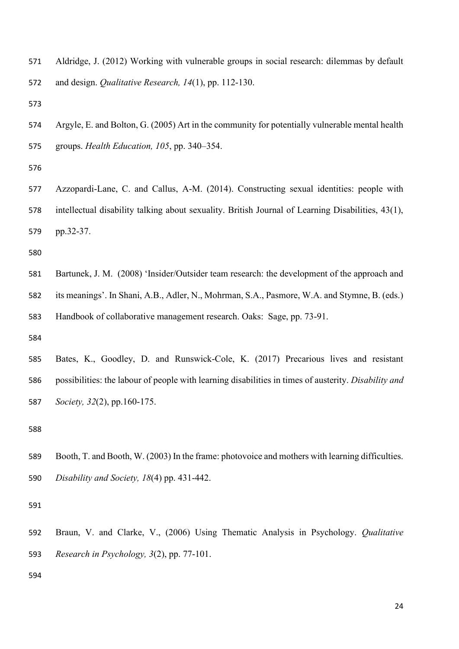Aldridge, J. (2012) Working with vulnerable groups in social research: dilemmas by default and design. *Qualitative Research, 14*(1), pp. 112-130.

- Argyle, E. and Bolton, G. (2005) Art in the community for potentially vulnerable mental health groups. *Health Education, 105*, pp. 340–354.
- 
- Azzopardi-Lane, C. and Callus, A-M. (2014). Constructing sexual identities: people with intellectual disability talking about sexuality. British Journal of Learning Disabilities, 43(1), pp.32-37.

 Bartunek, J. M. (2008) 'Insider/Outsider team research: the development of the approach and its meanings'. In Shani, A.B., Adler, N., Mohrman, S.A., Pasmore, W.A. and Stymne, B. (eds.) Handbook of collaborative management research. Oaks: Sage, pp. 73-91.

 Bates, K., Goodley, D. and Runswick-Cole, K. (2017) Precarious lives and resistant possibilities: the labour of people with learning disabilities in times of austerity. *Disability and Society, 32*(2), pp.160-175.

 Booth, T. and Booth, W. (2003) In the frame: photovoice and mothers with learning difficulties. *Disability and Society, 18*(4) pp. 431-442.

 Braun, V. and Clarke, V., (2006) Using Thematic Analysis in Psychology. *Qualitative Research in Psychology, 3*(2), pp. 77-101.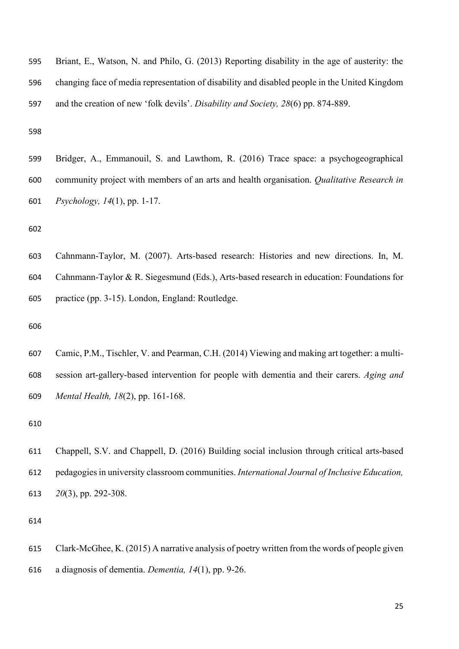| 595 | Briant, E., Watson, N. and Philo, G. (2013) Reporting disability in the age of austerity: the |
|-----|-----------------------------------------------------------------------------------------------|
| 596 | changing face of media representation of disability and disabled people in the United Kingdom |
| 597 | and the creation of new 'folk devils'. Disability and Society, 28(6) pp. 874-889.             |

 Bridger, A., Emmanouil, S. and Lawthom, R. (2016) Trace space: a psychogeographical community project with members of an arts and health organisation. *Qualitative Research in Psychology, 14*(1), pp. 1-17.

 Cahnmann-Taylor, M. (2007). Arts-based research: Histories and new directions. In, M. Cahnmann-Taylor & R. Siegesmund (Eds.), Arts-based research in education: Foundations for practice (pp. 3-15). London, England: Routledge.

 Chappell, S.V. and Chappell, D. (2016) Building social inclusion through critical arts-based pedagogies in university classroom communities. *International Journal of Inclusive Education, 20*(3), pp. 292-308.

 Clark-McGhee, K. (2015) A narrative analysis of poetry written from the words of people given a diagnosis of dementia. *Dementia, 14*(1), pp. 9-26.

 Camic, P.M., Tischler, V. and Pearman, C.H. (2014) Viewing and making art together: a multi- session art-gallery-based intervention for people with dementia and their carers. *Aging and Mental Health, 18*(2), pp. 161-168.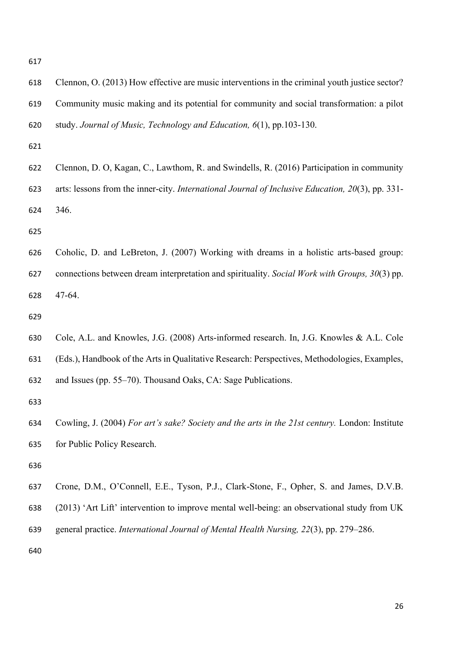|              | I |  |
|--------------|---|--|
| I<br>×<br>۰, |   |  |

 Clennon, O. (2013) How effective are music interventions in the criminal youth justice sector? Community music making and its potential for community and social transformation: a pilot study. *Journal of Music, Technology and Education, 6*(1), pp.103-130. Clennon, D. O, Kagan, C., Lawthom, R. and Swindells, R. (2016) Participation in community arts: lessons from the inner-city. *International Journal of Inclusive Education, 20*(3), pp. 331- 346. Coholic, D. and LeBreton, J. (2007) Working with dreams in a holistic arts-based group: connections between dream interpretation and spirituality. *Social Work with Groups, 30*(3) pp. 47-64. Cole, A.L. and Knowles, J.G. (2008) Arts-informed research. In, J.G. Knowles & A.L. Cole (Eds.), Handbook of the Arts in Qualitative Research: Perspectives, Methodologies, Examples, and Issues (pp. 55–70). Thousand Oaks, CA: Sage Publications. Cowling, J. (2004) *For art's sake? Society and the arts in the 21st century.* London: Institute for Public Policy Research. Crone, D.M., O'Connell, E.E., Tyson, P.J., Clark-Stone, F., Opher, S. and James, D.V.B. (2013) 'Art Lift' intervention to improve mental well-being: an observational study from UK general practice. *International Journal of Mental Health Nursing, 22*(3), pp. 279–286.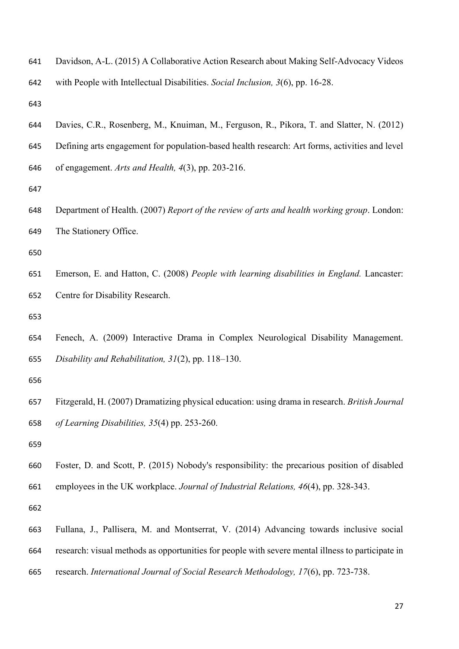| 641 | Davidson, A-L. (2015) A Collaborative Action Research about Making Self-Advocacy Videos        |
|-----|------------------------------------------------------------------------------------------------|
| 642 | with People with Intellectual Disabilities. Social Inclusion, 3(6), pp. 16-28.                 |
| 643 |                                                                                                |
| 644 | Davies, C.R., Rosenberg, M., Knuiman, M., Ferguson, R., Pikora, T. and Slatter, N. (2012)      |
| 645 | Defining arts engagement for population-based health research: Art forms, activities and level |
| 646 | of engagement. Arts and Health, 4(3), pp. 203-216.                                             |
| 647 |                                                                                                |
|     |                                                                                                |

 $\overline{AB}$  (2015)  $\overline{AB}$  Davidson, A-L. (2016)  $\overline{BA}$  about Making Self-Advocation  $\overline{BA}$ 

 Department of Health. (2007) *Report of the review of arts and health working group*. London: The Stationery Office.

 Emerson, E. and Hatton, C. (2008) *People with learning disabilities in England.* Lancaster: Centre for Disability Research.

 Fenech, A. (2009) Interactive Drama in Complex Neurological Disability Management. *Disability and Rehabilitation, 31*(2), pp. 118–130.

 Fitzgerald, H. (2007) Dramatizing physical education: using drama in research. *British Journal of Learning Disabilities, 35*(4) pp. 253-260.

 Foster, D. and Scott, P. (2015) Nobody's responsibility: the precarious position of disabled employees in the UK workplace. *Journal of Industrial Relations, 46*(4), pp. 328-343.

- Fullana, J., Pallisera, M. and Montserrat, V. (2014) Advancing towards inclusive social research: visual methods as opportunities for people with severe mental illness to participate in
- research. *International Journal of Social Research Methodology, 17*(6), pp. 723-738.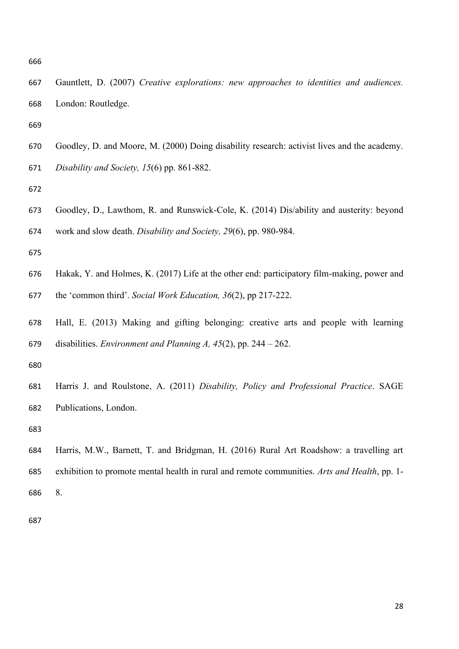Gauntlett, D. (2007) *Creative explorations: new approaches to identities and audiences.* London: Routledge.

 Goodley, D. and Moore, M. (2000) Doing disability research: activist lives and the academy. *Disability and Society, 15*(6) pp. 861-882.

 Goodley, D., Lawthom, R. and Runswick-Cole, K. (2014) Dis/ability and austerity: beyond work and slow death. *Disability and Society, 29*(6), pp. 980-984.

- Hakak, Y. and Holmes, K. (2017) Life at the other end: participatory film-making, power and the 'common third'. *Social Work Education, 36*(2), pp 217-222.
- Hall, E. (2013) Making and gifting belonging: creative arts and people with learning disabilities. *Environment and Planning A, 45*(2), pp. 244 – 262.

 Harris J. and Roulstone, A. (2011) *Disability, Policy and Professional Practice*. SAGE Publications, London.

 Harris, M.W., Barnett, T. and Bridgman, H. (2016) Rural Art Roadshow: a travelling art exhibition to promote mental health in rural and remote communities. *Arts and Health*, pp. 1-

8.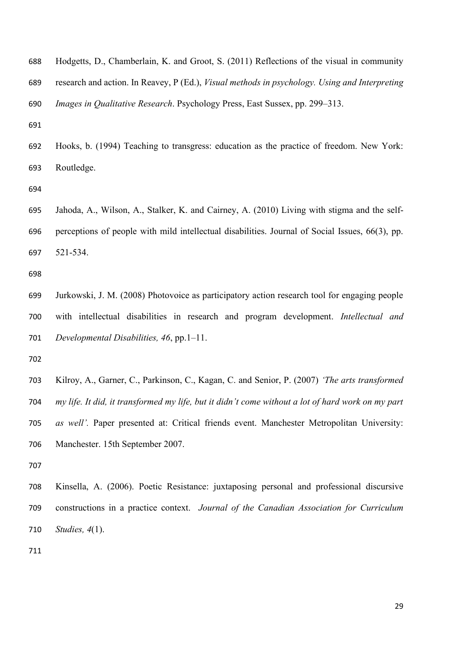| 688 | Hodgetts, D., Chamberlain, K. and Groot, S. (2011) Reflections of the visual in community            |
|-----|------------------------------------------------------------------------------------------------------|
| 689 | research and action. In Reavey, P (Ed.), <i>Visual methods in psychology. Using and Interpreting</i> |
| 690 | <i>Images in Qualitative Research.</i> Psychology Press, East Sussex, pp. 299–313.                   |

 Hooks, b. (1994) Teaching to transgress: education as the practice of freedom. New York: Routledge.

 Jahoda, A., Wilson, A., Stalker, K. and Cairney, A. (2010) Living with stigma and the self- perceptions of people with mild intellectual disabilities. Journal of Social Issues, 66(3), pp. 521-534.

 Jurkowski, J. M. (2008) Photovoice as participatory action research tool for engaging people with intellectual disabilities in research and program development. *Intellectual and Developmental Disabilities, 46*, pp.1–11.

 Kilroy, A., Garner, C., Parkinson, C., Kagan, C. and Senior, P. (2007) *'The arts transformed my life. It did, it transformed my life, but it didn't come without a lot of hard work on my part as well'.* Paper presented at: Critical friends event. Manchester Metropolitan University: Manchester. 15th September 2007.

 Kinsella, A. (2006). Poetic Resistance: juxtaposing personal and professional discursive constructions in a practice context. *Journal of the Canadian Association for Curriculum Studies, 4*(1).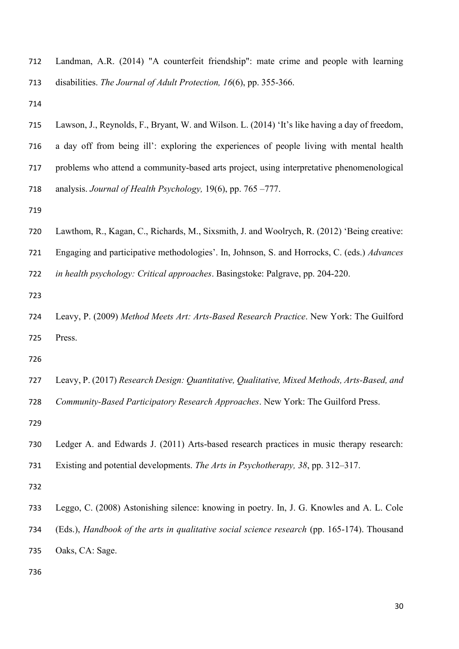| 712 | Landman, A.R. (2014) "A counterfeit friendship": mate crime and people with learning |  |
|-----|--------------------------------------------------------------------------------------|--|
| 713 | disabilities. The Journal of Adult Protection, 16(6), pp. 355-366.                   |  |

| 715 | Lawson, J., Reynolds, F., Bryant, W. and Wilson. L. (2014) 'It's like having a day of freedom,     |
|-----|----------------------------------------------------------------------------------------------------|
| 716 | a day off from being ill': exploring the experiences of people living with mental health           |
| 717 | problems who attend a community-based arts project, using interpretative phenomenological          |
| 718 | analysis. Journal of Health Psychology, 19(6), pp. 765 –777.                                       |
| 719 |                                                                                                    |
| 720 | Lawthom, R., Kagan, C., Richards, M., Sixsmith, J. and Woolrych, R. (2012) 'Being creative:        |
| 721 | Engaging and participative methodologies'. In, Johnson, S. and Horrocks, C. (eds.) <i>Advances</i> |
| 722 | in health psychology: Critical approaches. Basingstoke: Palgrave, pp. 204-220.                     |
| 723 |                                                                                                    |
| 724 | Leavy, P. (2009) Method Meets Art: Arts-Based Research Practice. New York: The Guilford            |
| 725 | Press.                                                                                             |
| 726 |                                                                                                    |
| 727 | Leavy, P. (2017) Research Design: Quantitative, Qualitative, Mixed Methods, Arts-Based, and        |
| 728 | Community-Based Participatory Research Approaches. New York: The Guilford Press.                   |
| 729 |                                                                                                    |
| 730 | Ledger A. and Edwards J. (2011) Arts-based research practices in music therapy research:           |
| 731 | Existing and potential developments. The Arts in Psychotherapy, 38, pp. 312–317.                   |
| 732 |                                                                                                    |
| 733 | Leggo, C. (2008) Astonishing silence: knowing in poetry. In, J. G. Knowles and A. L. Cole          |
| 734 | (Eds.), Handbook of the arts in qualitative social science research (pp. 165-174). Thousand        |
| 735 | Oaks, CA: Sage.                                                                                    |
|     |                                                                                                    |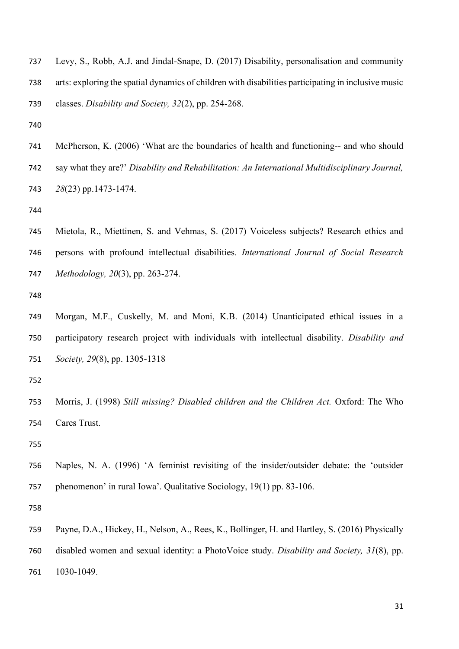Levy, S., Robb, A.J. and Jindal-Snape, D. (2017) Disability, personalisation and community arts: exploring the spatial dynamics of children with disabilities participating in inclusive music classes. *Disability and Society, 32*(2), pp. 254-268.

 McPherson, K. (2006) 'What are the boundaries of health and functioning-- and who should say what they are?' *Disability and Rehabilitation: An International Multidisciplinary Journal, 28*(23) pp.1473-1474.

 Mietola, R., Miettinen, S. and Vehmas, S. (2017) Voiceless subjects? Research ethics and persons with profound intellectual disabilities. *International Journal of Social Research Methodology, 20*(3), pp. 263-274.

 Morgan, M.F., Cuskelly, M. and Moni, K.B. (2014) Unanticipated ethical issues in a participatory research project with individuals with intellectual disability. *Disability and Society, 29*(8), pp. 1305-1318

 Morris, J. (1998) *Still missing? Disabled children and the Children Act.* Oxford: The Who Cares Trust.

 Naples, N. A. (1996) 'A feminist revisiting of the insider/outsider debate: the 'outsider phenomenon' in rural Iowa'. Qualitative Sociology, 19(1) pp. 83-106.

 Payne, D.A., Hickey, H., Nelson, A., Rees, K., Bollinger, H. and Hartley, S. (2016) Physically disabled women and sexual identity: a PhotoVoice study. *Disability and Society, 31*(8), pp. 1030-1049.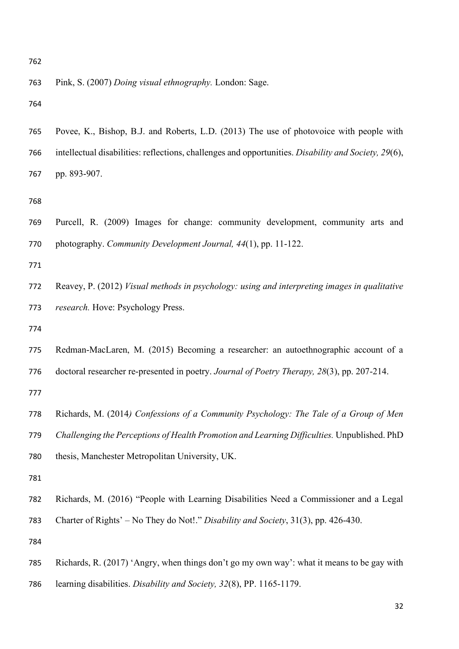Pink, S. (2007) *Doing visual ethnography.* London: Sage.

 Povee, K., Bishop, B.J. and Roberts, L.D. (2013) The use of photovoice with people with intellectual disabilities: reflections, challenges and opportunities. *Disability and Society, 29*(6), pp. 893-907.

 Purcell, R. (2009) Images for change: community development, community arts and photography. *Community Development Journal, 44*(1), pp. 11-122.

- Reavey, P. (2012) *Visual methods in psychology: using and interpreting images in qualitative research.* Hove: Psychology Press.
- 
- Redman-MacLaren, M. (2015) Becoming a researcher: an autoethnographic account of a
- doctoral researcher re-presented in poetry. *Journal of Poetry Therapy, 28*(3), pp. 207-214.

- Richards, M. (2014*) Confessions of a Community Psychology: The Tale of a Group of Men*
- *Challenging the Perceptions of Health Promotion and Learning Difficulties.* Unpublished. PhD
- thesis, Manchester Metropolitan University, UK.

 Richards, M. (2016) "People with Learning Disabilities Need a Commissioner and a Legal Charter of Rights' – No They do Not!." *Disability and Society*, 31(3), pp. 426-430.

 Richards, R. (2017) 'Angry, when things don't go my own way': what it means to be gay with learning disabilities. *Disability and Society, 32*(8), PP. 1165-1179.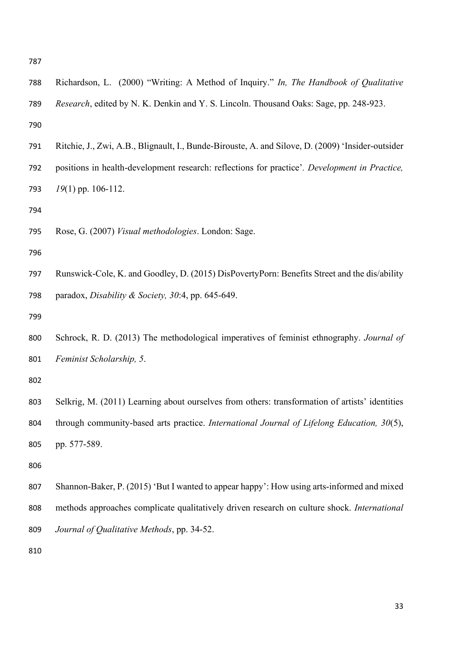| ×<br>۰.<br>v |  |
|--------------|--|
|              |  |

| 788 | Richardson, L. (2000) "Writing: A Method of Inquiry." In, The Handbook of Qualitative             |
|-----|---------------------------------------------------------------------------------------------------|
| 789 | Research, edited by N. K. Denkin and Y. S. Lincoln. Thousand Oaks: Sage, pp. 248-923.             |
| 790 |                                                                                                   |
| 791 | Ritchie, J., Zwi, A.B., Blignault, I., Bunde-Birouste, A. and Silove, D. (2009) 'Insider-outsider |
| 792 | positions in health-development research: reflections for practice'. Development in Practice,     |
| 793 | 19(1) pp. 106-112.                                                                                |
| 794 |                                                                                                   |
| 795 | Rose, G. (2007) Visual methodologies. London: Sage.                                               |
| 796 |                                                                                                   |
| 797 | Runswick-Cole, K. and Goodley, D. (2015) DisPovertyPorn: Benefits Street and the dis/ability      |
| 798 | paradox, Disability & Society, 30:4, pp. 645-649.                                                 |
| 799 |                                                                                                   |
| 800 | Schrock, R. D. (2013) The methodological imperatives of feminist ethnography. Journal of          |
| 801 | Feminist Scholarship, 5.                                                                          |
| 802 |                                                                                                   |
| 803 | Selkrig, M. (2011) Learning about ourselves from others: transformation of artists' identities    |
| 804 | through community-based arts practice. International Journal of Lifelong Education, 30(5),        |
| 805 | pp. 577-589.                                                                                      |
| 806 |                                                                                                   |
| 807 | Shannon-Baker, P. (2015) 'But I wanted to appear happy': How using arts-informed and mixed        |
| 808 | methods approaches complicate qualitatively driven research on culture shock. International       |

*Journal of Qualitative Methods*, pp. 34-52.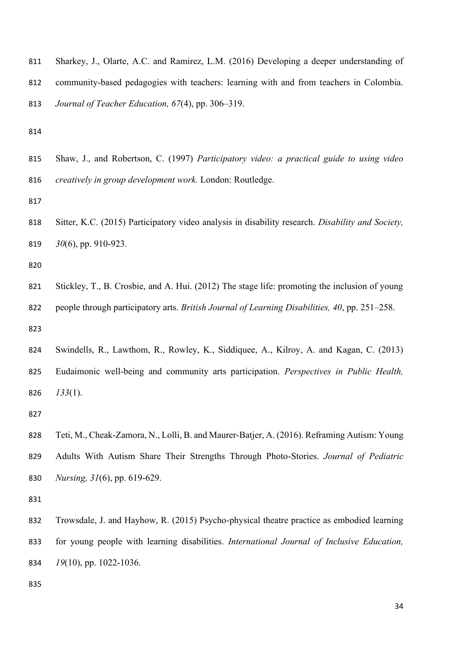| 811 | Sharkey, J., Olarte, A.C. and Ramirez, L.M. (2016) Developing a deeper understanding of |
|-----|-----------------------------------------------------------------------------------------|
| 812 | community-based pedagogies with teachers: learning with and from teachers in Colombia.  |
| 813 | Journal of Teacher Education, 67(4), pp. 306–319.                                       |

 Shaw, J., and Robertson, C. (1997) *Participatory video: a practical guide to using video creatively in group development work.* London: Routledge.

 Sitter, K.C. (2015) Participatory video analysis in disability research. *Disability and Society, 30*(6), pp. 910-923.

- Stickley, T., B. Crosbie, and A. Hui. (2012) The stage life: promoting the inclusion of young people through participatory arts. *British Journal of Learning Disabilities, 40*, pp. 251–258.
- Swindells, R., Lawthom, R., Rowley, K., Siddiquee, A., Kilroy, A. and Kagan, C. (2013) Eudaimonic well-being and community arts participation. *Perspectives in Public Health, 133*(1).

 Teti, M., Cheak-Zamora, N., Lolli, B. and Maurer-Batjer, A. (2016). Reframing Autism: Young Adults With Autism Share Their Strengths Through Photo-Stories. *Journal of Pediatric Nursing, 31*(6), pp. 619-629.

 Trowsdale, J. and Hayhow, R. (2015) Psycho-physical theatre practice as embodied learning for young people with learning disabilities. *International Journal of Inclusive Education, 19*(10), pp. 1022-1036.